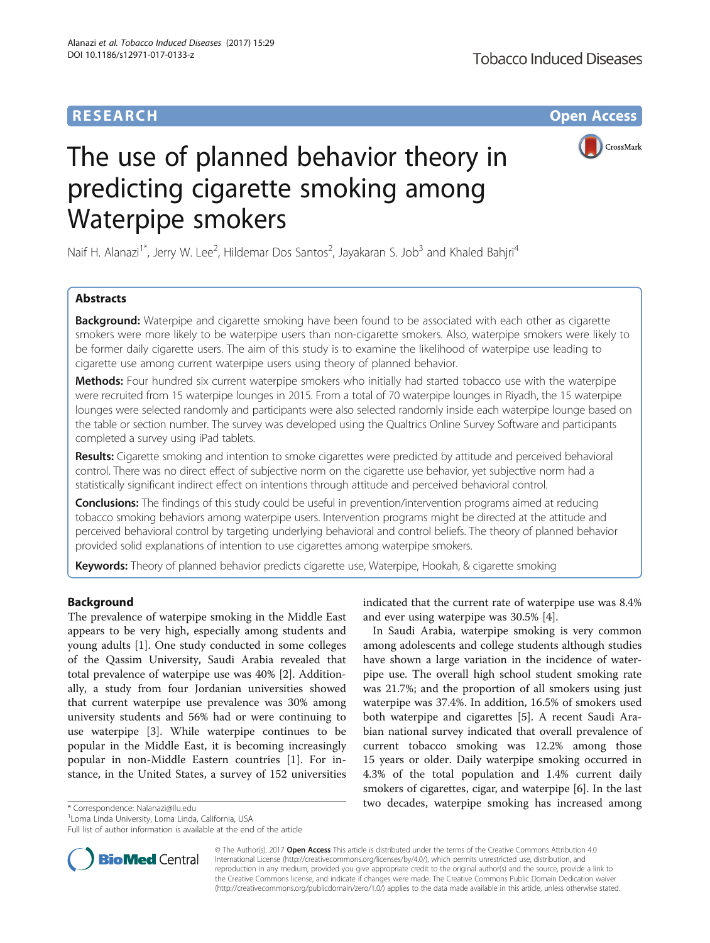# **RESEARCH CHE Open Access**



# The use of planned behavior theory in predicting cigarette smoking among Waterpipe smokers

Naif H. Alanazi<sup>1\*</sup>, Jerry W. Lee<sup>2</sup>, Hildemar Dos Santos<sup>2</sup>, Jayakaran S. Job<sup>3</sup> and Khaled Bahjri<sup>4</sup>

# Abstracts

**Background:** Waterpipe and cigarette smoking have been found to be associated with each other as cigarette smokers were more likely to be waterpipe users than non-cigarette smokers. Also, waterpipe smokers were likely to be former daily cigarette users. The aim of this study is to examine the likelihood of waterpipe use leading to cigarette use among current waterpipe users using theory of planned behavior.

Methods: Four hundred six current waterpipe smokers who initially had started tobacco use with the waterpipe were recruited from 15 waterpipe lounges in 2015. From a total of 70 waterpipe lounges in Riyadh, the 15 waterpipe lounges were selected randomly and participants were also selected randomly inside each waterpipe lounge based on the table or section number. The survey was developed using the Qualtrics Online Survey Software and participants completed a survey using iPad tablets.

Results: Cigarette smoking and intention to smoke cigarettes were predicted by attitude and perceived behavioral control. There was no direct effect of subjective norm on the cigarette use behavior, yet subjective norm had a statistically significant indirect effect on intentions through attitude and perceived behavioral control.

**Conclusions:** The findings of this study could be useful in prevention/intervention programs aimed at reducing tobacco smoking behaviors among waterpipe users. Intervention programs might be directed at the attitude and perceived behavioral control by targeting underlying behavioral and control beliefs. The theory of planned behavior provided solid explanations of intention to use cigarettes among waterpipe smokers.

Keywords: Theory of planned behavior predicts cigarette use, Waterpipe, Hookah, & cigarette smoking

# Background

The prevalence of waterpipe smoking in the Middle East appears to be very high, especially among students and young adults [\[1](#page-7-0)]. One study conducted in some colleges of the Qassim University, Saudi Arabia revealed that total prevalence of waterpipe use was 40% [\[2](#page-7-0)]. Additionally, a study from four Jordanian universities showed that current waterpipe use prevalence was 30% among university students and 56% had or were continuing to use waterpipe [\[3\]](#page-7-0). While waterpipe continues to be popular in the Middle East, it is becoming increasingly popular in non-Middle Eastern countries [[1\]](#page-7-0). For instance, in the United States, a survey of 152 universities

<sup>1</sup> Loma Linda University, Loma Linda, California, USA

Full list of author information is available at the end of the article



In Saudi Arabia, waterpipe smoking is very common among adolescents and college students although studies have shown a large variation in the incidence of waterpipe use. The overall high school student smoking rate was 21.7%; and the proportion of all smokers using just waterpipe was 37.4%. In addition, 16.5% of smokers used both waterpipe and cigarettes [\[5](#page-7-0)]. A recent Saudi Arabian national survey indicated that overall prevalence of current tobacco smoking was 12.2% among those 15 years or older. Daily waterpipe smoking occurred in 4.3% of the total population and 1.4% current daily smokers of cigarettes, cigar, and waterpipe [\[6\]](#page-7-0). In the last two decades, waterpipe smoking has increased among \* Correspondence: [Nalanazi@llu.edu](mailto:Nalanazi@llu.edu) <sup>1</sup>



© The Author(s). 2017 **Open Access** This article is distributed under the terms of the Creative Commons Attribution 4.0 International License [\(http://creativecommons.org/licenses/by/4.0/](http://creativecommons.org/licenses/by/4.0/)), which permits unrestricted use, distribution, and reproduction in any medium, provided you give appropriate credit to the original author(s) and the source, provide a link to the Creative Commons license, and indicate if changes were made. The Creative Commons Public Domain Dedication waiver [\(http://creativecommons.org/publicdomain/zero/1.0/](http://creativecommons.org/publicdomain/zero/1.0/)) applies to the data made available in this article, unless otherwise stated.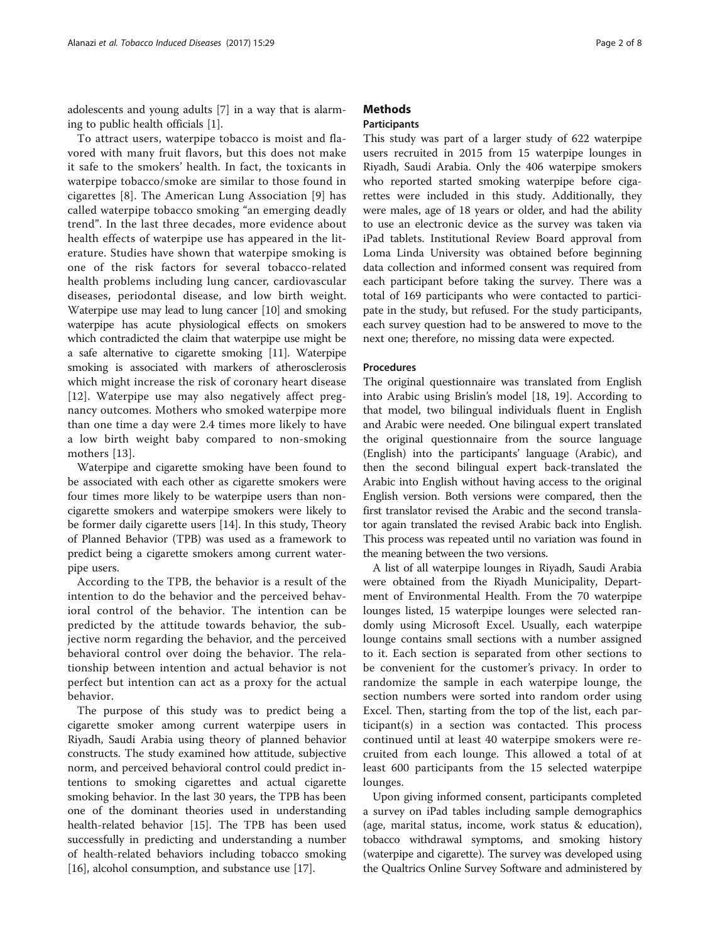adolescents and young adults [[7\]](#page-7-0) in a way that is alarming to public health officials [[1\]](#page-7-0).

To attract users, waterpipe tobacco is moist and flavored with many fruit flavors, but this does not make it safe to the smokers' health. In fact, the toxicants in waterpipe tobacco/smoke are similar to those found in cigarettes [[8](#page-7-0)]. The American Lung Association [[9\]](#page-7-0) has called waterpipe tobacco smoking "an emerging deadly trend". In the last three decades, more evidence about health effects of waterpipe use has appeared in the literature. Studies have shown that waterpipe smoking is one of the risk factors for several tobacco-related health problems including lung cancer, cardiovascular diseases, periodontal disease, and low birth weight. Waterpipe use may lead to lung cancer [[10](#page-7-0)] and smoking waterpipe has acute physiological effects on smokers which contradicted the claim that waterpipe use might be a safe alternative to cigarette smoking [\[11](#page-7-0)]. Waterpipe smoking is associated with markers of atherosclerosis which might increase the risk of coronary heart disease [[12](#page-7-0)]. Waterpipe use may also negatively affect pregnancy outcomes. Mothers who smoked waterpipe more than one time a day were 2.4 times more likely to have a low birth weight baby compared to non-smoking mothers [[13\]](#page-7-0).

Waterpipe and cigarette smoking have been found to be associated with each other as cigarette smokers were four times more likely to be waterpipe users than noncigarette smokers and waterpipe smokers were likely to be former daily cigarette users [\[14\]](#page-7-0). In this study, Theory of Planned Behavior (TPB) was used as a framework to predict being a cigarette smokers among current waterpipe users.

According to the TPB, the behavior is a result of the intention to do the behavior and the perceived behavioral control of the behavior. The intention can be predicted by the attitude towards behavior, the subjective norm regarding the behavior, and the perceived behavioral control over doing the behavior. The relationship between intention and actual behavior is not perfect but intention can act as a proxy for the actual behavior.

The purpose of this study was to predict being a cigarette smoker among current waterpipe users in Riyadh, Saudi Arabia using theory of planned behavior constructs. The study examined how attitude, subjective norm, and perceived behavioral control could predict intentions to smoking cigarettes and actual cigarette smoking behavior. In the last 30 years, the TPB has been one of the dominant theories used in understanding health-related behavior [\[15](#page-7-0)]. The TPB has been used successfully in predicting and understanding a number of health-related behaviors including tobacco smoking [[16\]](#page-7-0), alcohol consumption, and substance use [\[17](#page-7-0)].

# Methods **Participants**

This study was part of a larger study of 622 waterpipe users recruited in 2015 from 15 waterpipe lounges in Riyadh, Saudi Arabia. Only the 406 waterpipe smokers who reported started smoking waterpipe before cigarettes were included in this study. Additionally, they were males, age of 18 years or older, and had the ability to use an electronic device as the survey was taken via iPad tablets. Institutional Review Board approval from Loma Linda University was obtained before beginning data collection and informed consent was required from each participant before taking the survey. There was a total of 169 participants who were contacted to participate in the study, but refused. For the study participants, each survey question had to be answered to move to the next one; therefore, no missing data were expected.

#### Procedures

The original questionnaire was translated from English into Arabic using Brislin's model [\[18](#page-7-0), [19\]](#page-7-0). According to that model, two bilingual individuals fluent in English and Arabic were needed. One bilingual expert translated the original questionnaire from the source language (English) into the participants' language (Arabic), and then the second bilingual expert back-translated the Arabic into English without having access to the original English version. Both versions were compared, then the first translator revised the Arabic and the second translator again translated the revised Arabic back into English. This process was repeated until no variation was found in the meaning between the two versions.

A list of all waterpipe lounges in Riyadh, Saudi Arabia were obtained from the Riyadh Municipality, Department of Environmental Health. From the 70 waterpipe lounges listed, 15 waterpipe lounges were selected randomly using Microsoft Excel. Usually, each waterpipe lounge contains small sections with a number assigned to it. Each section is separated from other sections to be convenient for the customer's privacy. In order to randomize the sample in each waterpipe lounge, the section numbers were sorted into random order using Excel. Then, starting from the top of the list, each participant(s) in a section was contacted. This process continued until at least 40 waterpipe smokers were recruited from each lounge. This allowed a total of at least 600 participants from the 15 selected waterpipe lounges.

Upon giving informed consent, participants completed a survey on iPad tables including sample demographics (age, marital status, income, work status & education), tobacco withdrawal symptoms, and smoking history (waterpipe and cigarette). The survey was developed using the Qualtrics Online Survey Software and administered by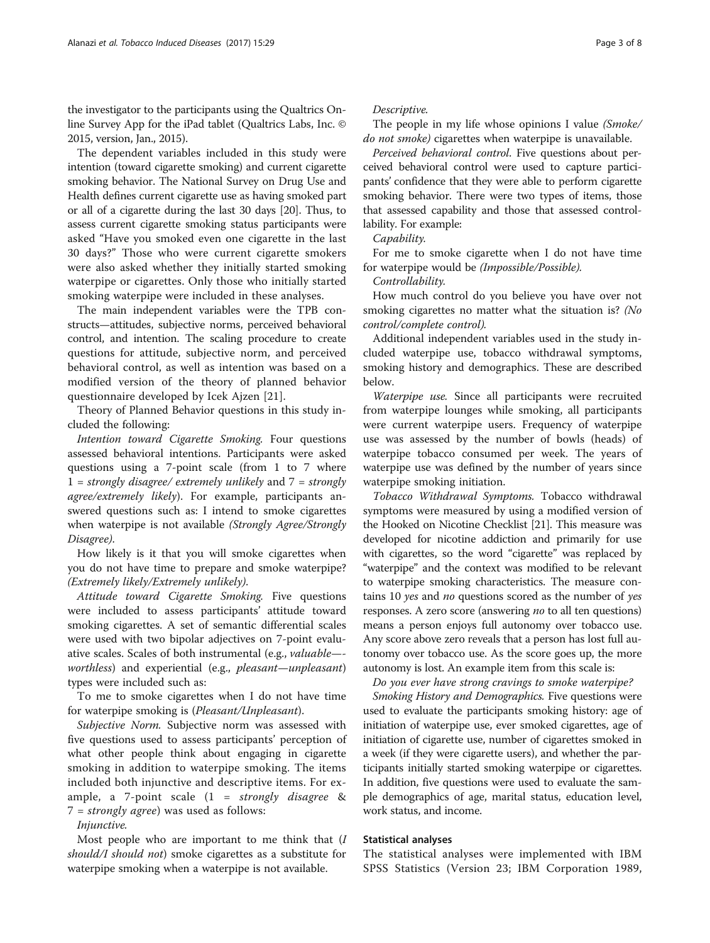the investigator to the participants using the Qualtrics Online Survey App for the iPad tablet (Qualtrics Labs, Inc. © 2015, version, Jan., 2015).

The dependent variables included in this study were intention (toward cigarette smoking) and current cigarette smoking behavior. The National Survey on Drug Use and Health defines current cigarette use as having smoked part or all of a cigarette during the last 30 days [\[20\]](#page-7-0). Thus, to assess current cigarette smoking status participants were asked "Have you smoked even one cigarette in the last 30 days?" Those who were current cigarette smokers were also asked whether they initially started smoking waterpipe or cigarettes. Only those who initially started smoking waterpipe were included in these analyses.

The main independent variables were the TPB constructs—attitudes, subjective norms, perceived behavioral control, and intention. The scaling procedure to create questions for attitude, subjective norm, and perceived behavioral control, as well as intention was based on a modified version of the theory of planned behavior questionnaire developed by Icek Ajzen [\[21](#page-7-0)].

Theory of Planned Behavior questions in this study included the following:

Intention toward Cigarette Smoking. Four questions assessed behavioral intentions. Participants were asked questions using a 7-point scale (from 1 to 7 where  $1 =$  strongly disagree/ extremely unlikely and  $7 =$  strongly agree/extremely likely). For example, participants answered questions such as: I intend to smoke cigarettes when waterpipe is not available (Strongly Agree/Strongly Disagree).

How likely is it that you will smoke cigarettes when you do not have time to prepare and smoke waterpipe? (Extremely likely/Extremely unlikely).

Attitude toward Cigarette Smoking. Five questions were included to assess participants' attitude toward smoking cigarettes. A set of semantic differential scales were used with two bipolar adjectives on 7-point evaluative scales. Scales of both instrumental (e.g., valuable— worthless) and experiential (e.g., pleasant-unpleasant) types were included such as:

To me to smoke cigarettes when I do not have time for waterpipe smoking is (Pleasant/Unpleasant).

Subjective Norm. Subjective norm was assessed with five questions used to assess participants' perception of what other people think about engaging in cigarette smoking in addition to waterpipe smoking. The items included both injunctive and descriptive items. For example, a 7-point scale  $(1 = strongly disagree &$  $7 = strongly agree$ ) was used as follows:

### Injunctive.

Most people who are important to me think that  $(I)$ should/I should not) smoke cigarettes as a substitute for waterpipe smoking when a waterpipe is not available.

#### Descriptive.

The people in my life whose opinions I value (Smoke/ do not smoke) cigarettes when waterpipe is unavailable.

Perceived behavioral control. Five questions about perceived behavioral control were used to capture participants' confidence that they were able to perform cigarette smoking behavior. There were two types of items, those that assessed capability and those that assessed controllability. For example:

# Capability.

For me to smoke cigarette when I do not have time for waterpipe would be (Impossible/Possible).

#### Controllability.

How much control do you believe you have over not smoking cigarettes no matter what the situation is? (No control/complete control).

Additional independent variables used in the study included waterpipe use, tobacco withdrawal symptoms, smoking history and demographics. These are described below.

Waterpipe use. Since all participants were recruited from waterpipe lounges while smoking, all participants were current waterpipe users. Frequency of waterpipe use was assessed by the number of bowls (heads) of waterpipe tobacco consumed per week. The years of waterpipe use was defined by the number of years since waterpipe smoking initiation.

Tobacco Withdrawal Symptoms. Tobacco withdrawal symptoms were measured by using a modified version of the Hooked on Nicotine Checklist [[21](#page-7-0)]. This measure was developed for nicotine addiction and primarily for use with cigarettes, so the word "cigarette" was replaced by "waterpipe" and the context was modified to be relevant to waterpipe smoking characteristics. The measure contains 10 yes and no questions scored as the number of yes responses. A zero score (answering no to all ten questions) means a person enjoys full autonomy over tobacco use. Any score above zero reveals that a person has lost full autonomy over tobacco use. As the score goes up, the more autonomy is lost. An example item from this scale is:

Do you ever have strong cravings to smoke waterpipe?

Smoking History and Demographics. Five questions were used to evaluate the participants smoking history: age of initiation of waterpipe use, ever smoked cigarettes, age of initiation of cigarette use, number of cigarettes smoked in a week (if they were cigarette users), and whether the participants initially started smoking waterpipe or cigarettes. In addition, five questions were used to evaluate the sample demographics of age, marital status, education level, work status, and income.

#### Statistical analyses

The statistical analyses were implemented with IBM SPSS Statistics (Version 23; IBM Corporation 1989,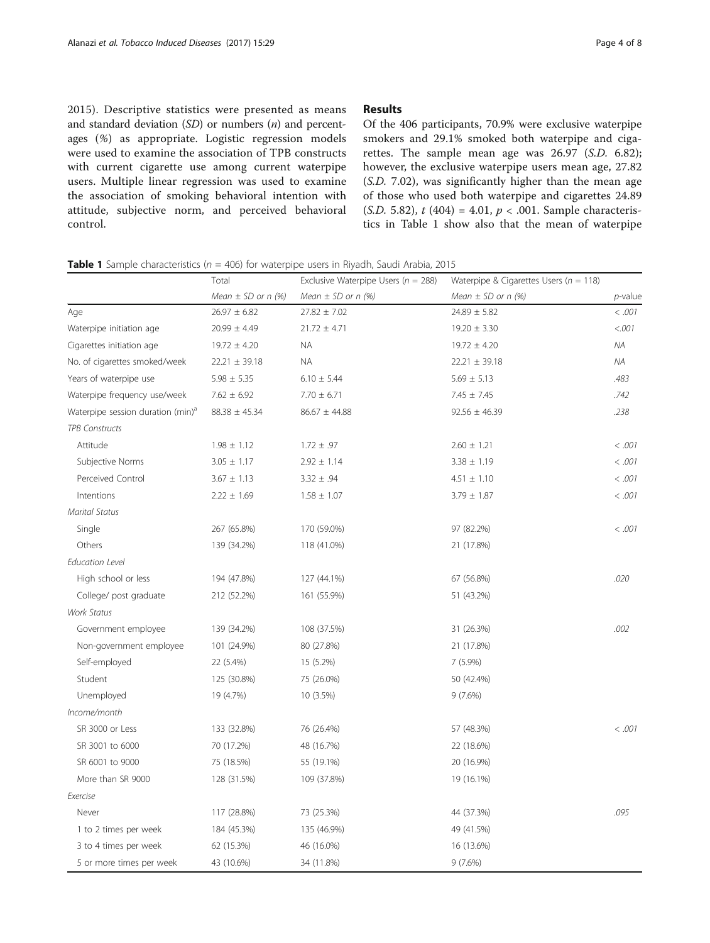2015). Descriptive statistics were presented as means and standard deviation  $(SD)$  or numbers  $(n)$  and percentages (%) as appropriate. Logistic regression models were used to examine the association of TPB constructs with current cigarette use among current waterpipe users. Multiple linear regression was used to examine the association of smoking behavioral intention with attitude, subjective norm, and perceived behavioral control.

## Results

Of the 406 participants, 70.9% were exclusive waterpipe smokers and 29.1% smoked both waterpipe and cigarettes. The sample mean age was 26.97 (S.D. 6.82); however, the exclusive waterpipe users mean age, 27.82 (S.D. 7.02), was significantly higher than the mean age of those who used both waterpipe and cigarettes 24.89  $(S.D. 5.82), t (404) = 4.01, p < .001$ . Sample characteristics in Table 1 show also that the mean of waterpipe

|  |  |  |  |  |  | <b>Table 1</b> Sample characteristics ( $n = 406$ ) for waterpipe users in Riyadh, Saudi Arabia, 2015 |
|--|--|--|--|--|--|-------------------------------------------------------------------------------------------------------|
|--|--|--|--|--|--|-------------------------------------------------------------------------------------------------------|

|                                               | Total                  | Exclusive Waterpipe Users ( $n = 288$ ) | Waterpipe & Cigarettes Users ( $n = 118$ ) |            |
|-----------------------------------------------|------------------------|-----------------------------------------|--------------------------------------------|------------|
|                                               | Mean $\pm$ SD or n (%) | Mean $\pm$ SD or n (%)                  | Mean $\pm$ SD or n (%)                     | $p$ -value |
| Age                                           | $26.97 \pm 6.82$       | $27.82 \pm 7.02$                        | $24.89 \pm 5.82$                           | < .001     |
| Waterpipe initiation age                      | $20.99 \pm 4.49$       | $21.72 \pm 4.71$                        | $19.20 \pm 3.30$                           | < .001     |
| Cigarettes initiation age                     | $19.72 \pm 4.20$       | <b>NA</b>                               | $19.72 \pm 4.20$                           | ΝA         |
| No. of cigarettes smoked/week                 | $22.21 \pm 39.18$      | <b>NA</b>                               | $22.21 \pm 39.18$                          | <b>NA</b>  |
| Years of waterpipe use                        | $5.98 \pm 5.35$        | $6.10 \pm 5.44$                         | $5.69 \pm 5.13$                            | .483       |
| Waterpipe frequency use/week                  | $7.62 \pm 6.92$        | $7.70 \pm 6.71$                         | $7.45 \pm 7.45$                            | .742       |
| Waterpipe session duration (min) <sup>d</sup> | $88.38 \pm 45.34$      | $86.67 \pm 44.88$                       | $92.56 \pm 46.39$                          | .238       |
| <b>TPB Constructs</b>                         |                        |                                         |                                            |            |
| Attitude                                      | $1.98 \pm 1.12$        | $1.72 \pm .97$                          | $2.60 \pm 1.21$                            | < .001     |
| Subjective Norms                              | $3.05\,\pm\,1.17$      | $2.92 \pm 1.14$                         | $3.38 \pm 1.19$                            | < .001     |
| Perceived Control                             | $3.67 \pm 1.13$        | $3.32 \pm .94$                          | $4.51 \pm 1.10$                            | < .001     |
| Intentions                                    | $2.22 \pm 1.69$        | $1.58 \pm 1.07$                         | $3.79 \pm 1.87$                            | < .001     |
| <b>Marital Status</b>                         |                        |                                         |                                            |            |
| Single                                        | 267 (65.8%)            | 170 (59.0%)                             | 97 (82.2%)                                 | < .001     |
| Others                                        | 139 (34.2%)            | 118 (41.0%)                             | 21 (17.8%)                                 |            |
| <b>Education Level</b>                        |                        |                                         |                                            |            |
| High school or less                           | 194 (47.8%)            | 127 (44.1%)                             | 67 (56.8%)                                 | .020       |
| College/ post graduate                        | 212 (52.2%)            | 161 (55.9%)                             | 51 (43.2%)                                 |            |
| <b>Work Status</b>                            |                        |                                         |                                            |            |
| Government employee                           | 139 (34.2%)            | 108 (37.5%)                             | 31 (26.3%)                                 | .002       |
| Non-government employee                       | 101 (24.9%)            | 80 (27.8%)                              | 21 (17.8%)                                 |            |
| Self-employed                                 | 22 (5.4%)              | 15 (5.2%)                               | 7 (5.9%)                                   |            |
| Student                                       | 125 (30.8%)            | 75 (26.0%)                              | 50 (42.4%)                                 |            |
| Unemployed                                    | 19 (4.7%)              | 10 (3.5%)                               | $9(7.6\%)$                                 |            |
| Income/month                                  |                        |                                         |                                            |            |
| SR 3000 or Less                               | 133 (32.8%)            | 76 (26.4%)                              | 57 (48.3%)                                 | < .001     |
| SR 3001 to 6000                               | 70 (17.2%)             | 48 (16.7%)                              | 22 (18.6%)                                 |            |
| SR 6001 to 9000                               | 75 (18.5%)             | 55 (19.1%)                              | 20 (16.9%)                                 |            |
| More than SR 9000                             | 128 (31.5%)            | 109 (37.8%)                             | 19 (16.1%)                                 |            |
| Exercise                                      |                        |                                         |                                            |            |
| Never                                         | 117 (28.8%)            | 73 (25.3%)                              | 44 (37.3%)                                 | .095       |
| 1 to 2 times per week                         | 184 (45.3%)            | 135 (46.9%)                             | 49 (41.5%)                                 |            |
| 3 to 4 times per week                         | 62 (15.3%)             | 46 (16.0%)                              | 16 (13.6%)                                 |            |
| 5 or more times per week                      | 43 (10.6%)             | 34 (11.8%)                              | 9(7.6%)                                    |            |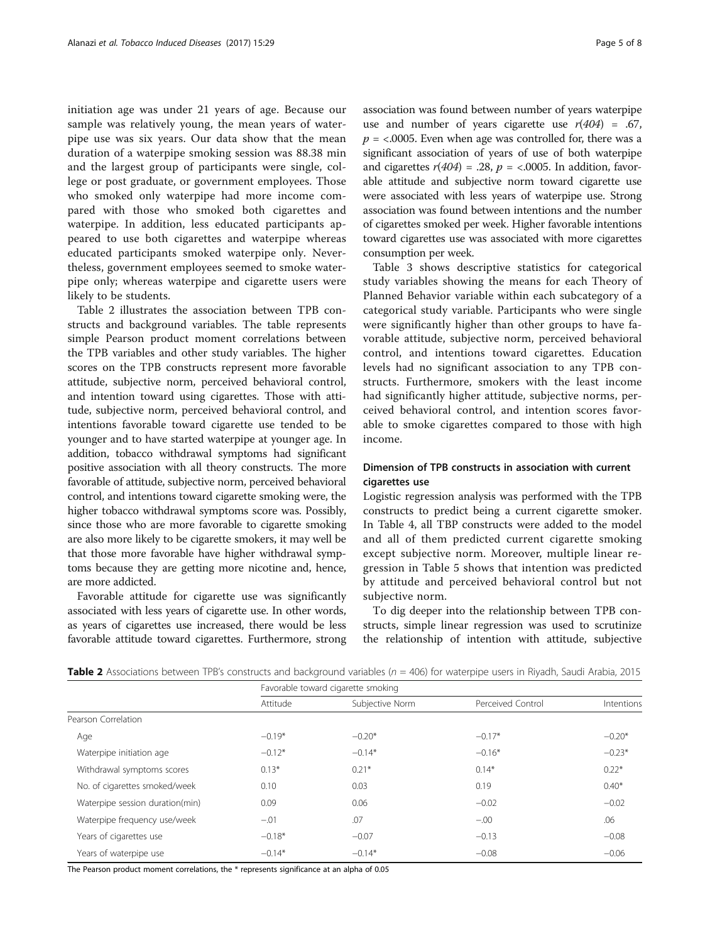initiation age was under 21 years of age. Because our sample was relatively young, the mean years of waterpipe use was six years. Our data show that the mean duration of a waterpipe smoking session was 88.38 min and the largest group of participants were single, college or post graduate, or government employees. Those who smoked only waterpipe had more income compared with those who smoked both cigarettes and waterpipe. In addition, less educated participants appeared to use both cigarettes and waterpipe whereas educated participants smoked waterpipe only. Nevertheless, government employees seemed to smoke waterpipe only; whereas waterpipe and cigarette users were likely to be students.

Table 2 illustrates the association between TPB constructs and background variables. The table represents simple Pearson product moment correlations between the TPB variables and other study variables. The higher scores on the TPB constructs represent more favorable attitude, subjective norm, perceived behavioral control, and intention toward using cigarettes. Those with attitude, subjective norm, perceived behavioral control, and intentions favorable toward cigarette use tended to be younger and to have started waterpipe at younger age. In addition, tobacco withdrawal symptoms had significant positive association with all theory constructs. The more favorable of attitude, subjective norm, perceived behavioral control, and intentions toward cigarette smoking were, the higher tobacco withdrawal symptoms score was. Possibly, since those who are more favorable to cigarette smoking are also more likely to be cigarette smokers, it may well be that those more favorable have higher withdrawal symptoms because they are getting more nicotine and, hence, are more addicted.

Favorable attitude for cigarette use was significantly associated with less years of cigarette use. In other words, as years of cigarettes use increased, there would be less favorable attitude toward cigarettes. Furthermore, strong association was found between number of years waterpipe use and number of years cigarette use  $r(404) = .67$ ,  $p = 0.0005$ . Even when age was controlled for, there was a significant association of years of use of both waterpipe and cigarettes  $r(404) = .28$ ,  $p = <.0005$ . In addition, favorable attitude and subjective norm toward cigarette use were associated with less years of waterpipe use. Strong association was found between intentions and the number of cigarettes smoked per week. Higher favorable intentions toward cigarettes use was associated with more cigarettes consumption per week.

Table [3](#page-5-0) shows descriptive statistics for categorical study variables showing the means for each Theory of Planned Behavior variable within each subcategory of a categorical study variable. Participants who were single were significantly higher than other groups to have favorable attitude, subjective norm, perceived behavioral control, and intentions toward cigarettes. Education levels had no significant association to any TPB constructs. Furthermore, smokers with the least income had significantly higher attitude, subjective norms, perceived behavioral control, and intention scores favorable to smoke cigarettes compared to those with high income.

# Dimension of TPB constructs in association with current cigarettes use

Logistic regression analysis was performed with the TPB constructs to predict being a current cigarette smoker. In Table [4,](#page-5-0) all TBP constructs were added to the model and all of them predicted current cigarette smoking except subjective norm. Moreover, multiple linear regression in Table [5](#page-5-0) shows that intention was predicted by attitude and perceived behavioral control but not subjective norm.

To dig deeper into the relationship between TPB constructs, simple linear regression was used to scrutinize the relationship of intention with attitude, subjective

| Table 2 Associations between TPB's constructs and background variables (n = 406) for waterpipe users in Riyadh, Saudi Arabia, 2015 |  |
|------------------------------------------------------------------------------------------------------------------------------------|--|
|------------------------------------------------------------------------------------------------------------------------------------|--|

|                                 | Favorable toward cigarette smoking |                 |                   |            |  |  |
|---------------------------------|------------------------------------|-----------------|-------------------|------------|--|--|
|                                 | Attitude                           | Subjective Norm | Perceived Control | Intentions |  |  |
| Pearson Correlation             |                                    |                 |                   |            |  |  |
| Age                             | $-0.19*$                           | $-0.20*$        | $-0.17*$          | $-0.20*$   |  |  |
| Waterpipe initiation age        | $-0.12*$                           | $-0.14*$        | $-0.16*$          | $-0.23*$   |  |  |
| Withdrawal symptoms scores      | $0.13*$                            | $0.21*$         | $0.14*$           | $0.22*$    |  |  |
| No. of cigarettes smoked/week   | 0.10                               | 0.03            | 0.19              | $0.40*$    |  |  |
| Waterpipe session duration(min) | 0.09                               | 0.06            | $-0.02$           | $-0.02$    |  |  |
| Waterpipe frequency use/week    | $-.01$                             | .07             | $-.00$            | .06        |  |  |
| Years of cigarettes use         | $-0.18*$                           | $-0.07$         | $-0.13$           | $-0.08$    |  |  |
| Years of waterpipe use          | $-0.14*$                           | $-0.14*$        | $-0.08$           | $-0.06$    |  |  |

The Pearson product moment correlations, the \* represents significance at an alpha of 0.05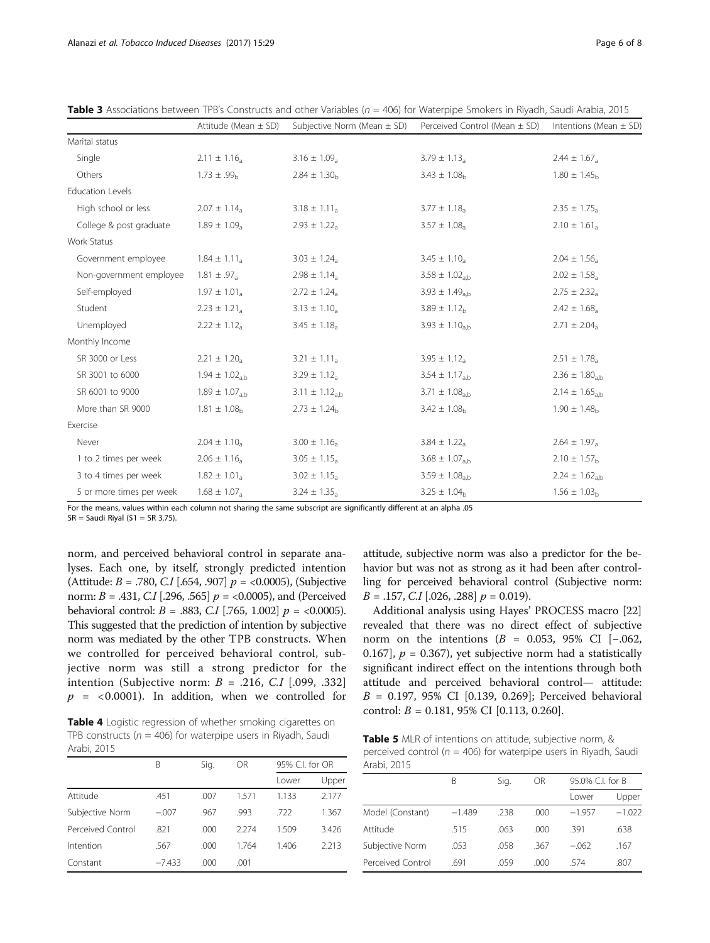|                          | Attitude (Mean $\pm$ SD)     | Subjective Norm (Mean $\pm$ SD) | Perceived Control (Mean $\pm$ SD) | Intentions (Mean $\pm$ SD)   |
|--------------------------|------------------------------|---------------------------------|-----------------------------------|------------------------------|
| Marital status           |                              |                                 |                                   |                              |
| Single                   | $2.11 \pm 1.16$ <sub>a</sub> | $3.16 \pm 1.09_a$               | $3.79 \pm 1.13$ <sub>a</sub>      | 2.44 $\pm$ 1.67 <sub>a</sub> |
| Others                   | $1.73 \pm .99_h$             | $2.84 \pm 1.30_h$               | $3.43 \pm 1.08_h$                 | $1.80 \pm 1.45_{h}$          |
| <b>Education Levels</b>  |                              |                                 |                                   |                              |
| High school or less      | $2.07 \pm 1.14$ <sub>a</sub> | $3.18 \pm 1.11_a$               | $3.77 \pm 1.18$ <sub>a</sub>      | $2.35 \pm 1.75$ <sub>a</sub> |
| College & post graduate  | $1.89 \pm 1.09$ <sub>a</sub> | $2.93 \pm 1.22$                 | $3.57 \pm 1.08$ <sub>a</sub>      | $2.10 \pm 1.61$ <sub>a</sub> |
| Work Status              |                              |                                 |                                   |                              |
| Government employee      | $1.84 \pm 1.11_a$            | $3.03 \pm 1.24$ <sub>a</sub>    | $3.45 \pm 1.10$ <sub>a</sub>      | $2.04 \pm 1.56$ <sub>a</sub> |
| Non-government employee  | 1.81 $\pm$ .97 <sub>a</sub>  | $2.98 \pm 1.14$ <sub>a</sub>    | $3.58 \pm 1.02_{\rm ab}$          | $2.02 \pm 1.58$ <sub>a</sub> |
| Self-employed            | $1.97 \pm 1.01_a$            | $2.72 \pm 1.24$ <sub>a</sub>    | $3.93 \pm 1.49_{ab}$              | $2.75 \pm 2.32_a$            |
| Student                  | $2.23 \pm 1.21_a$            | $3.13 \pm 1.10_a$               | $3.89 \pm 1.12_h$                 | $2.42 \pm 1.68$ <sub>a</sub> |
| Unemployed               | $2.22 \pm 1.12$ <sub>a</sub> | $3.45 \pm 1.18$ <sub>a</sub>    | $3.93 \pm 1.10_{ab}$              | $2.71 \pm 2.04_a$            |
| Monthly Income           |                              |                                 |                                   |                              |
| SR 3000 or Less          | $2.21 \pm 1.20_a$            | 3.21 $\pm$ 1.11 <sub>a</sub>    | $3.95 \pm 1.12_a$                 | $2.51 \pm 1.78$ <sub>a</sub> |
| SR 3001 to 6000          | $1.94 \pm 1.02_{\rm ab}$     | $3.29 \pm 1.12_a$               | $3.54 \pm 1.17_{\rm ab}$          | $2.36 \pm 1.80_{\rm ab}$     |
| SR 6001 to 9000          | $1.89 \pm 1.07_{a,b}$        | $3.11 \pm 1.12_{a,b}$           | $3.71 \pm 1.08_{a,b}$             | $2.14 \pm 1.65_{a,b}$        |
| More than SR 9000        | $1.81 \pm 1.08$ <sub>h</sub> | $2.73 \pm 1.24$ <sub>h</sub>    | $3.42 \pm 1.08_h$                 | $1.90 \pm 1.48$ <sub>h</sub> |
| Exercise                 |                              |                                 |                                   |                              |
| Never                    | $2.04 \pm 1.10_a$            | $3.00 \pm 1.16$ <sub>a</sub>    | 3.84 $\pm$ 1.22 <sub>a</sub>      | $2.64 \pm 1.97$ <sub>a</sub> |
| 1 to 2 times per week    | $2.06 \pm 1.16$ <sub>a</sub> | $3.05 \pm 1.15$ <sub>a</sub>    | $3.68 \pm 1.07_{a,b}$             | $2.10 \pm 1.57_h$            |
| 3 to 4 times per week    | $1.82 \pm 1.01$ <sub>a</sub> | $3.02 \pm 1.15$ <sub>a</sub>    | $3.59 \pm 1.08_{a,b}$             | $2.24 \pm 1.62_{\rm ab}$     |
| 5 or more times per week | $1.68 \pm 1.07$ <sub>a</sub> | $3.24 \pm 1.35$ <sub>a</sub>    | $3.25 \pm 1.04_{h}$               | $1.56 \pm 1.03_h$            |

<span id="page-5-0"></span>**Table 3** Associations between TPB's Constructs and other Variables ( $n = 406$ ) for Waterpipe Smokers in Riyadh, Saudi Arabia, 2015

For the means, values within each column not sharing the same subscript are significantly different at an alpha .05

 $SR =$  Saudi Riyal (\$1 = SR 3.75).

norm, and perceived behavioral control in separate analyses. Each one, by itself, strongly predicted intention (Attitude:  $B = .780$ , C.I [.654, .907]  $p = 0.0005$ ), (Subjective norm:  $B = .431, C.I$  [.296, .565]  $p = <0.0005$ ), and (Perceived behavioral control:  $B = .883, C.I$  [.765, 1.002]  $p = <0.0005$ ). This suggested that the prediction of intention by subjective norm was mediated by the other TPB constructs. When we controlled for perceived behavioral control, subjective norm was still a strong predictor for the intention (Subjective norm:  $B = .216$ , C.I [.099, .332]  $p = \langle 0.0001 \rangle$ . In addition, when we controlled for

Table 4 Logistic regression of whether smoking cigarettes on TPB constructs ( $n = 406$ ) for waterpipe users in Riyadh, Saudi Arabi, 2015

|                   | B        | Sig. | OR    | 95% C.I. for OR |       |
|-------------------|----------|------|-------|-----------------|-------|
|                   |          |      |       | Lower           | Upper |
| Attitude          | .451     | .007 | 1.571 | 1.133           | 2.177 |
| Subjective Norm   | $-.007$  | .967 | .993  | .722            | 1.367 |
| Perceived Control | .821     | .000 | 2.274 | 1.509           | 3.426 |
| Intention         | .567     | .000 | 1.764 | 1.406           | 2.213 |
| Constant          | $-7.433$ | .000 | .001  |                 |       |

attitude, subjective norm was also a predictor for the behavior but was not as strong as it had been after controlling for perceived behavioral control (Subjective norm:  $B = .157, C.I$  [.026, .288]  $p = 0.019$ ).

Additional analysis using Hayes' PROCESS macro [[22](#page-7-0)] revealed that there was no direct effect of subjective norm on the intentions ( $B = 0.053$ , 95% CI [-.062, 0.167],  $p = 0.367$ , yet subjective norm had a statistically significant indirect effect on the intentions through both attitude and perceived behavioral control— attitude: B = 0.197, 95% CI [0.139, 0.269]; Perceived behavioral control:  $B = 0.181, 95\%$  CI [0.113, 0.260].

Table 5 MLR of intentions on attitude, subjective norm, & perceived control ( $n = 406$ ) for waterpipe users in Riyadh, Saudi Arabi, 2015

|                   | В        | Sig. | OR   | 95.0% C.I. for B |          |
|-------------------|----------|------|------|------------------|----------|
|                   |          |      |      | Lower            | Upper    |
| Model (Constant)  | $-1.489$ | .238 | .000 | $-1957$          | $-1.022$ |
| Attitude          | .515     | .063 | .000 | .391             | .638     |
| Subjective Norm   | .053     | .058 | .367 | $-.062$          | .167     |
| Perceived Control | .691     | .059 | .000 | -574             | .807     |
|                   |          |      |      |                  |          |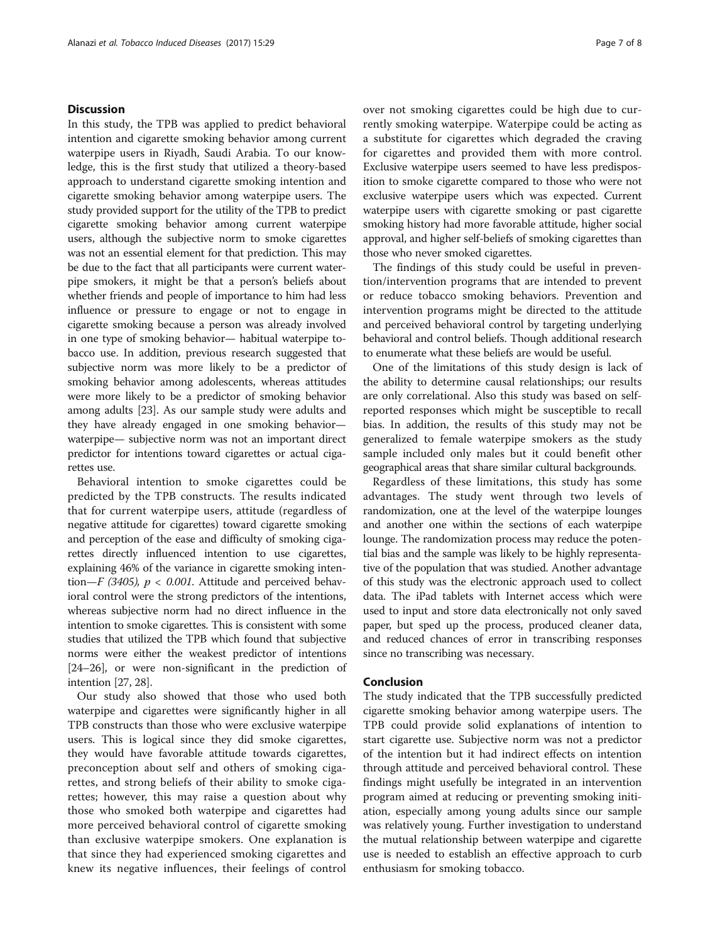## **Discussion**

In this study, the TPB was applied to predict behavioral intention and cigarette smoking behavior among current waterpipe users in Riyadh, Saudi Arabia. To our knowledge, this is the first study that utilized a theory-based approach to understand cigarette smoking intention and cigarette smoking behavior among waterpipe users. The study provided support for the utility of the TPB to predict cigarette smoking behavior among current waterpipe users, although the subjective norm to smoke cigarettes was not an essential element for that prediction. This may be due to the fact that all participants were current waterpipe smokers, it might be that a person's beliefs about whether friends and people of importance to him had less influence or pressure to engage or not to engage in cigarette smoking because a person was already involved in one type of smoking behavior— habitual waterpipe tobacco use. In addition, previous research suggested that subjective norm was more likely to be a predictor of smoking behavior among adolescents, whereas attitudes were more likely to be a predictor of smoking behavior among adults [\[23](#page-7-0)]. As our sample study were adults and they have already engaged in one smoking behavior waterpipe— subjective norm was not an important direct predictor for intentions toward cigarettes or actual cigarettes use.

Behavioral intention to smoke cigarettes could be predicted by the TPB constructs. The results indicated that for current waterpipe users, attitude (regardless of negative attitude for cigarettes) toward cigarette smoking and perception of the ease and difficulty of smoking cigarettes directly influenced intention to use cigarettes, explaining 46% of the variance in cigarette smoking intention—F (3405),  $p < 0.001$ . Attitude and perceived behavioral control were the strong predictors of the intentions, whereas subjective norm had no direct influence in the intention to smoke cigarettes. This is consistent with some studies that utilized the TPB which found that subjective norms were either the weakest predictor of intentions [[24](#page-7-0)–[26\]](#page-7-0), or were non-significant in the prediction of intention [[27](#page-7-0), [28\]](#page-7-0).

Our study also showed that those who used both waterpipe and cigarettes were significantly higher in all TPB constructs than those who were exclusive waterpipe users. This is logical since they did smoke cigarettes, they would have favorable attitude towards cigarettes, preconception about self and others of smoking cigarettes, and strong beliefs of their ability to smoke cigarettes; however, this may raise a question about why those who smoked both waterpipe and cigarettes had more perceived behavioral control of cigarette smoking than exclusive waterpipe smokers. One explanation is that since they had experienced smoking cigarettes and knew its negative influences, their feelings of control over not smoking cigarettes could be high due to currently smoking waterpipe. Waterpipe could be acting as a substitute for cigarettes which degraded the craving for cigarettes and provided them with more control. Exclusive waterpipe users seemed to have less predisposition to smoke cigarette compared to those who were not exclusive waterpipe users which was expected. Current waterpipe users with cigarette smoking or past cigarette smoking history had more favorable attitude, higher social approval, and higher self-beliefs of smoking cigarettes than those who never smoked cigarettes.

The findings of this study could be useful in prevention/intervention programs that are intended to prevent or reduce tobacco smoking behaviors. Prevention and intervention programs might be directed to the attitude and perceived behavioral control by targeting underlying behavioral and control beliefs. Though additional research to enumerate what these beliefs are would be useful.

One of the limitations of this study design is lack of the ability to determine causal relationships; our results are only correlational. Also this study was based on selfreported responses which might be susceptible to recall bias. In addition, the results of this study may not be generalized to female waterpipe smokers as the study sample included only males but it could benefit other geographical areas that share similar cultural backgrounds.

Regardless of these limitations, this study has some advantages. The study went through two levels of randomization, one at the level of the waterpipe lounges and another one within the sections of each waterpipe lounge. The randomization process may reduce the potential bias and the sample was likely to be highly representative of the population that was studied. Another advantage of this study was the electronic approach used to collect data. The iPad tablets with Internet access which were used to input and store data electronically not only saved paper, but sped up the process, produced cleaner data, and reduced chances of error in transcribing responses since no transcribing was necessary.

## Conclusion

The study indicated that the TPB successfully predicted cigarette smoking behavior among waterpipe users. The TPB could provide solid explanations of intention to start cigarette use. Subjective norm was not a predictor of the intention but it had indirect effects on intention through attitude and perceived behavioral control. These findings might usefully be integrated in an intervention program aimed at reducing or preventing smoking initiation, especially among young adults since our sample was relatively young. Further investigation to understand the mutual relationship between waterpipe and cigarette use is needed to establish an effective approach to curb enthusiasm for smoking tobacco.